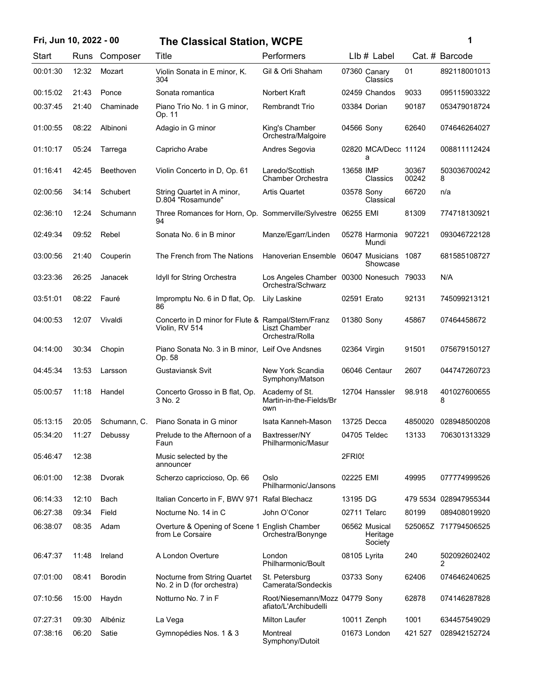## **Fri, Jun 10, 2022 - 00 1 The Classical Station, WCPE**

| ٦ |  |  |
|---|--|--|
| I |  |  |
|   |  |  |
|   |  |  |
|   |  |  |

| Start    | Runs  | Composer         | Title                                                                | Performers                                                    | Llb # Label                          |                      | Cat. # Barcode                 |
|----------|-------|------------------|----------------------------------------------------------------------|---------------------------------------------------------------|--------------------------------------|----------------------|--------------------------------|
| 00:01:30 | 12:32 | Mozart           | Violin Sonata in E minor, K.<br>304                                  | Gil & Orli Shaham                                             | 07360 Canary<br>Classics             | 01                   | 892118001013                   |
| 00:15:02 | 21:43 | Ponce            | Sonata romantica                                                     | Norbert Kraft                                                 | 02459 Chandos                        | 9033                 | 095115903322                   |
| 00:37:45 | 21:40 | Chaminade        | Piano Trio No. 1 in G minor,<br>Op. 11                               | <b>Rembrandt Trio</b>                                         | 03384 Dorian                         | 90187                | 053479018724                   |
| 01:00:55 | 08:22 | Albinoni         | Adagio in G minor                                                    | King's Chamber<br>Orchestra/Malgoire                          | 04566 Sony                           | 62640                | 074646264027                   |
| 01:10:17 | 05:24 | Tarrega          | Capricho Arabe                                                       | Andres Segovia                                                | a                                    | 02820 MCA/Decc 11124 | 008811112424                   |
| 01:16:41 | 42:45 | <b>Beethoven</b> | Violin Concerto in D, Op. 61                                         | Laredo/Scottish<br>Chamber Orchestra                          | 13658 IMP<br>Classics                | 30367<br>00242       | 503036700242<br>8              |
| 02:00:56 | 34:14 | Schubert         | String Quartet in A minor,<br>D.804 "Rosamunde"                      | <b>Artis Quartet</b>                                          | 03578 Sony<br>Classical              | 66720                | n/a                            |
| 02:36:10 | 12:24 | Schumann         | Three Romances for Horn, Op. Sommerville/Sylvestre 06255 EMI<br>94   |                                                               |                                      | 81309                | 774718130921                   |
| 02:49:34 | 09:52 | Rebel            | Sonata No. 6 in B minor                                              | Manze/Egarr/Linden                                            | 05278 Harmonia<br>Mundi              | 907221               | 093046722128                   |
| 03:00:56 | 21:40 | Couperin         | The French from The Nations                                          | Hanoverian Ensemble                                           | 06047 Musicians                      | 1087<br>Showcase     | 681585108727                   |
| 03:23:36 | 26:25 | Janacek          | Idyll for String Orchestra                                           | Los Angeles Chamber 00300 Nonesuch 79033<br>Orchestra/Schwarz |                                      |                      | N/A                            |
| 03:51:01 | 08:22 | Fauré            | Impromptu No. 6 in D flat, Op.<br>86                                 | Lily Laskine                                                  | 02591 Erato                          | 92131                | 745099213121                   |
| 04:00:53 | 12:07 | Vivaldi          | Concerto in D minor for Flute & Rampal/Stern/Franz<br>Violin, RV 514 | Liszt Chamber<br>Orchestra/Rolla                              | 01380 Sony                           | 45867                | 07464458672                    |
| 04:14:00 | 30:34 | Chopin           | Piano Sonata No. 3 in B minor, Leif Ove Andsnes<br>Op. 58            |                                                               | 02364 Virgin                         | 91501                | 075679150127                   |
| 04:45:34 | 13:53 | Larsson          | Gustaviansk Svit                                                     | New York Scandia<br>Symphony/Matson                           | 06046 Centaur                        | 2607                 | 044747260723                   |
| 05:00:57 | 11:18 | Handel           | Concerto Grosso in B flat, Op.<br>3 No. 2                            | Academy of St.<br>Martin-in-the-Fields/Br<br>own              | 12704 Hanssler                       | 98.918               | 401027600655<br>8              |
| 05:13:15 | 20:05 | Schumann, C.     | Piano Sonata in G minor                                              | Isata Kanneh-Mason                                            | 13725 Decca                          | 4850020              | 028948500208                   |
| 05:34:20 | 11:27 | Debussy          | Prelude to the Afternoon of a<br>Faun                                | Baxtresser/NY<br>Philharmonic/Masur                           | 04705 Teldec                         | 13133                | 706301313329                   |
| 05:46:47 | 12:38 |                  | Music selected by the<br>announcer                                   |                                                               | 2FRI05                               |                      |                                |
| 06:01:00 | 12:38 | Dvorak           | Scherzo capriccioso, Op. 66                                          | Oslo<br>Philharmonic/Jansons                                  | 02225 EMI                            | 49995                | 077774999526                   |
| 06:14:33 | 12:10 | Bach             | Italian Concerto in F, BWV 971 Rafal Blechacz                        |                                                               | 13195 DG                             |                      | 479 5534 028947955344          |
| 06:27:38 | 09:34 | Field            | Nocturne No. 14 in C                                                 | John O'Conor                                                  | 02711 Telarc                         | 80199                | 089408019920                   |
| 06:38:07 | 08:35 | Adam             | Overture & Opening of Scene 1 English Chamber<br>from Le Corsaire    | Orchestra/Bonynge                                             | 06562 Musical<br>Heritage<br>Society |                      | 525065Z 717794506525           |
| 06:47:37 | 11:48 | Ireland          | A London Overture                                                    | London<br>Philharmonic/Boult                                  | 08105 Lyrita                         | 240                  | 502092602402<br>$\overline{2}$ |
| 07:01:00 | 08:41 | <b>Borodin</b>   | Nocturne from String Quartet<br>No. 2 in D (for orchestra)           | St. Petersburg<br>Camerata/Sondeckis                          | 03733 Sony                           | 62406                | 074646240625                   |
| 07:10:56 | 15:00 | Haydn            | Notturno No. 7 in F                                                  | Root/Niesemann/Mozz 04779 Sony<br>afiato/L'Archibudelli       |                                      | 62878                | 074146287828                   |
| 07:27:31 | 09:30 | Albéniz          | La Vega                                                              | <b>Milton Laufer</b>                                          | 10011 Zenph                          | 1001                 | 634457549029                   |
| 07:38:16 | 06:20 | Satie            | Gymnopédies Nos. 1 & 3                                               | Montreal<br>Symphony/Dutoit                                   | 01673 London                         | 421 527              | 028942152724                   |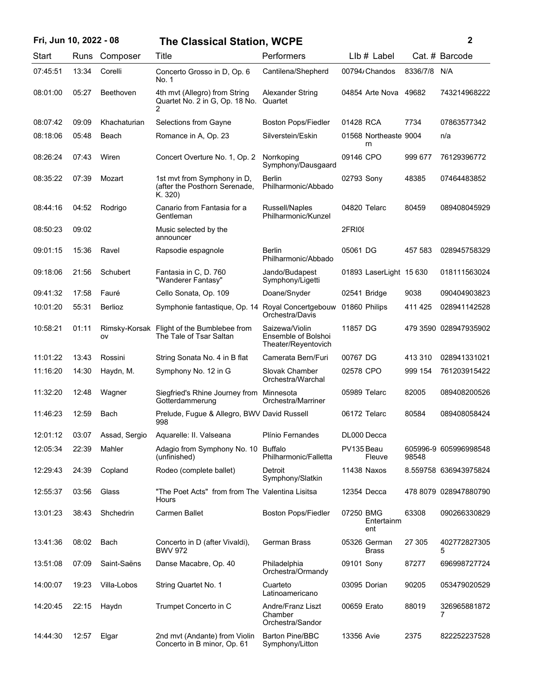| Fri, Jun 10, 2022 - 08 |       |                     |                                                                         | <b>The Classical Station, WCPE</b>                           |                                |          | $\mathbf 2$           |  |
|------------------------|-------|---------------------|-------------------------------------------------------------------------|--------------------------------------------------------------|--------------------------------|----------|-----------------------|--|
| Start                  | Runs  | Composer            | Title                                                                   | Performers                                                   | $Llb#$ Label                   |          | Cat. # Barcode        |  |
| 07:45:51               | 13:34 | Corelli             | Concerto Grosso in D, Op. 6<br>No. 1                                    | Cantilena/Shepherd                                           | 00794/Chandos                  | 8336/7/8 | N/A                   |  |
| 08:01:00               | 05:27 | Beethoven           | 4th mvt (Allegro) from String<br>Quartet No. 2 in G, Op. 18 No.<br>2    | <b>Alexander String</b><br>Quartet                           | 04854 Arte Nova 49682          |          | 743214968222          |  |
| 08:07:42               | 09:09 | Khachaturian        | Selections from Gayne                                                   | <b>Boston Pops/Fiedler</b>                                   | 01428 RCA                      | 7734     | 07863577342           |  |
| 08:18:06               | 05:48 | Beach               | Romance in A, Op. 23                                                    | Silverstein/Eskin                                            | 01568 Northeaste 9004<br>rn    |          | n/a                   |  |
| 08:26:24               | 07:43 | Wiren               | Concert Overture No. 1, Op. 2                                           | Norrkoping<br>Symphony/Dausgaard                             | 09146 CPO                      | 999 677  | 76129396772           |  |
| 08:35:22               | 07:39 | Mozart              | 1st myt from Symphony in D,<br>(after the Posthorn Serenade,<br>K. 320) | <b>Berlin</b><br>Philharmonic/Abbado                         | 02793 Sony                     | 48385    | 07464483852           |  |
| 08:44:16               | 04:52 | Rodrigo             | Canario from Fantasia for a<br>Gentleman                                | Russell/Naples<br>Philharmonic/Kunzel                        | 04820 Telarc                   | 80459    | 089408045929          |  |
| 08:50:23               | 09:02 |                     | Music selected by the<br>announcer                                      |                                                              | <b>2FRI08</b>                  |          |                       |  |
| 09:01:15               | 15:36 | Ravel               | Rapsodie espagnole                                                      | Berlin<br>Philharmonic/Abbado                                | 05061 DG                       | 457 583  | 028945758329          |  |
| 09:18:06               | 21:56 | Schubert            | Fantasia in C, D. 760<br>"Wanderer Fantasy"                             | Jando/Budapest<br>Symphony/Ligetti                           | 01893 LaserLight 15 630        |          | 018111563024          |  |
| 09:41:32               | 17:58 | Fauré               | Cello Sonata, Op. 109                                                   | Doane/Snyder                                                 | 02541 Bridge                   | 9038     | 090404903823          |  |
| 10:01:20               | 55:31 | Berlioz             | Symphonie fantastique, Op. 14                                           | Royal Concertgebouw<br>Orchestra/Davis                       | 01860 Philips                  | 411 425  | 028941142528          |  |
| 10:58:21               | 01:11 | Rimsky-Korsak<br>ov | Flight of the Bumblebee from<br>The Tale of Tsar Saltan                 | Saizewa/Violin<br>Ensemble of Bolshoi<br>Theater/Reyentovich | 11857 DG                       |          | 479 3590 028947935902 |  |
| 11:01:22               | 13:43 | Rossini             | String Sonata No. 4 in B flat                                           | Camerata Bern/Furi                                           | 00767 DG                       | 413 310  | 028941331021          |  |
| 11:16:20               | 14:30 | Haydn, M.           | Symphony No. 12 in G                                                    | Slovak Chamber<br>Orchestra/Warchal                          | 02578 CPO                      | 999 154  | 761203915422          |  |
| 11:32:20               | 12:48 | Wagner              | Siegfried's Rhine Journey from Minnesota<br>Gotterdammerung             | Orchestra/Marriner                                           | 05989 Telarc                   | 82005    | 089408200526          |  |
| 11:46:23               | 12:59 | Bach                | Prelude, Fugue & Allegro, BWV David Russell<br>998                      |                                                              | 06172 Telarc                   | 80584    | 089408058424          |  |
| 12:01:12               | 03:07 | Assad, Sergio       | Aquarelle: II. Valseana                                                 | Plínio Fernandes                                             | DL000 Decca                    |          |                       |  |
| 12:05:34               | 22:39 | Mahler              | Adagio from Symphony No. 10 Buffalo<br>(unfinished)                     | Philharmonic/Falletta                                        | PV135 Beau<br>Fleuve           | 98548    | 605996-9 605996998548 |  |
| 12:29:43               | 24:39 | Copland             | Rodeo (complete ballet)                                                 | Detroit<br>Symphony/Slatkin                                  | 11438 Naxos                    |          | 8.559758 636943975824 |  |
| 12:55:37               | 03:56 | Glass               | "The Poet Acts" from from The Valentina Lisitsa<br>Hours                |                                                              | 12354 Decca                    |          | 478 8079 028947880790 |  |
| 13:01:23               | 38:43 | Shchedrin           | <b>Carmen Ballet</b>                                                    | <b>Boston Pops/Fiedler</b>                                   | 07250 BMG<br>Entertainm<br>ent | 63308    | 090266330829          |  |
| 13:41:36               | 08:02 | Bach                | Concerto in D (after Vivaldi),<br><b>BWV 972</b>                        | <b>German Brass</b>                                          | 05326 German<br><b>Brass</b>   | 27 305   | 402772827305<br>5     |  |
| 13:51:08               | 07:09 | Saint-Saëns         | Danse Macabre, Op. 40                                                   | Philadelphia<br>Orchestra/Ormandy                            | 09101 Sony                     | 87277    | 696998727724          |  |
| 14:00:07               | 19:23 | Villa-Lobos         | String Quartet No. 1                                                    | Cuarteto<br>Latinoamericano                                  | 03095 Dorian                   | 90205    | 053479020529          |  |
| 14:20:45               | 22:15 | Haydn               | Trumpet Concerto in C                                                   | Andre/Franz Liszt<br>Chamber<br>Orchestra/Sandor             | 00659 Erato                    | 88019    | 326965881872<br>7     |  |
| 14:44:30               | 12:57 | Elgar               | 2nd mvt (Andante) from Violin<br>Concerto in B minor, Op. 61            | <b>Barton Pine/BBC</b><br>Symphony/Litton                    | 13356 Avie                     | 2375     | 822252237528          |  |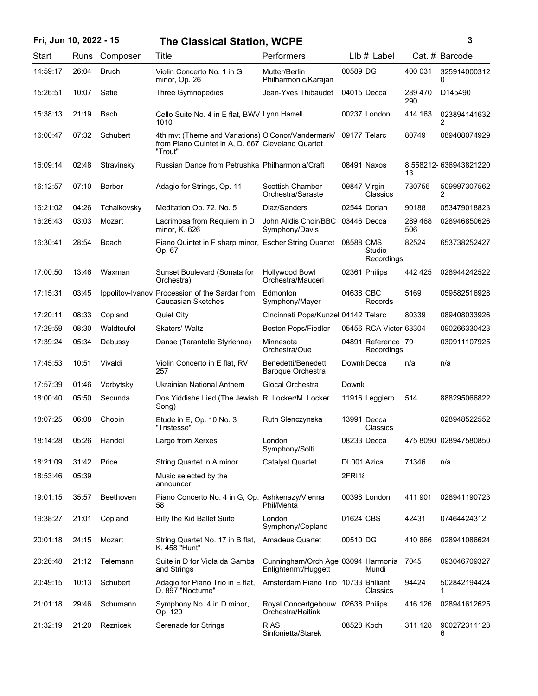## **Fri, Jun 10, 2022 - 15 3 The Classical Station, WCPE**

| ٦ |   |  |
|---|---|--|
|   |   |  |
|   |   |  |
|   |   |  |
|   | I |  |

| Start    | Runs  | Composer      | Title                                                                                                              | Performers                                                |               | Llb # Label                      |                | Cat. # Barcode        |
|----------|-------|---------------|--------------------------------------------------------------------------------------------------------------------|-----------------------------------------------------------|---------------|----------------------------------|----------------|-----------------------|
| 14:59:17 | 26:04 | <b>Bruch</b>  | Violin Concerto No. 1 in G<br>minor, Op. 26                                                                        | Mutter/Berlin<br>Philharmonic/Karajan                     | 00589 DG      |                                  | 400 031        | 325914000312<br>0     |
| 15:26:51 | 10:07 | Satie         | Three Gymnopedies                                                                                                  | Jean-Yves Thibaudet                                       | 04015 Decca   |                                  | 289 470<br>290 | D145490               |
| 15:38:13 | 21:19 | Bach          | Cello Suite No. 4 in E flat, BWV Lynn Harrell<br>1010                                                              |                                                           |               | 00237 London                     | 414 163        | 023894141632<br>2     |
| 16:00:47 | 07:32 | Schubert      | 4th mvt (Theme and Variations) O'Conor/Vandermark/<br>from Piano Quintet in A, D. 667 Cleveland Quartet<br>"Trout" |                                                           | 09177 Telarc  |                                  | 80749          | 089408074929          |
| 16:09:14 | 02:48 | Stravinsky    | Russian Dance from Petrushka Philharmonia/Craft                                                                    |                                                           | 08491 Naxos   |                                  | 13             | 8.558212-636943821220 |
| 16:12:57 | 07:10 | <b>Barber</b> | Adagio for Strings, Op. 11                                                                                         | Scottish Chamber<br>Orchestra/Saraste                     | 09847 Virgin  | Classics                         | 730756         | 509997307562<br>2     |
| 16:21:02 | 04:26 | Tchaikovsky   | Meditation Op. 72, No. 5                                                                                           | Diaz/Sanders                                              | 02544 Dorian  |                                  | 90188          | 053479018823          |
| 16:26:43 | 03:03 | Mozart        | Lacrimosa from Requiem in D<br>minor, K. 626                                                                       | John Alldis Choir/BBC<br>Symphony/Davis                   | 03446 Decca   |                                  | 289 468<br>506 | 028946850626          |
| 16:30:41 | 28:54 | Beach         | Piano Quintet in F sharp minor, Escher String Quartet<br>Op. 67                                                    |                                                           | 08588 CMS     | Studio<br>Recordings             | 82524          | 653738252427          |
| 17:00:50 | 13:46 | Waxman        | Sunset Boulevard (Sonata for<br>Orchestra)                                                                         | <b>Hollywood Bowl</b><br>Orchestra/Mauceri                |               | 02361 Philips                    | 442 425        | 028944242522          |
| 17:15:31 | 03:45 |               | Ippolitov-Ivanov Procession of the Sardar from<br><b>Caucasian Sketches</b>                                        | Edmonton<br>Symphony/Mayer                                | 04638 CBC     | Records                          | 5169           | 059582516928          |
| 17:20:11 | 08:33 | Copland       | <b>Quiet City</b>                                                                                                  | Cincinnati Pops/Kunzel 04142 Telarc                       |               |                                  | 80339          | 089408033926          |
| 17:29:59 | 08:30 | Waldteufel    | <b>Skaters' Waltz</b>                                                                                              | <b>Boston Pops/Fiedler</b>                                |               | 05456 RCA Victor 63304           |                | 090266330423          |
| 17:39:24 | 05:34 | Debussy       | Danse (Tarantelle Styrienne)                                                                                       | Minnesota<br>Orchestra/Oue                                |               | 04891 Reference 79<br>Recordings |                | 030911107925          |
| 17:45:53 | 10:51 | Vivaldi       | Violin Concerto in E flat, RV<br>257                                                                               | Benedetti/Benedetti<br>Baroque Orchestra                  |               | Downk Decca                      | n/a            | n/a                   |
| 17:57:39 | 01:46 | Verbytsky     | Ukrainian National Anthem                                                                                          | Glocal Orchestra                                          | Downk         |                                  |                |                       |
| 18:00:40 | 05:50 | Secunda       | Dos Yiddishe Lied (The Jewish R. Locker/M. Locker<br>Song)                                                         |                                                           |               | 11916 Leggiero                   | 514            | 888295066822          |
| 18:07:25 | 06:08 | Chopin        | Etude in E, Op. 10 No. 3<br>"Tristesse"                                                                            | Ruth Slenczynska                                          |               | 13991 Decca<br>Classics          |                | 028948522552          |
| 18:14:28 | 05:26 | Handel        | Largo from Xerxes                                                                                                  | London<br>Symphony/Solti                                  | 08233 Decca   |                                  |                | 475 8090 028947580850 |
| 18:21:09 | 31:42 | Price         | String Quartet in A minor                                                                                          | <b>Catalyst Quartet</b>                                   | DL001 Azica   |                                  | 71346          | n/a                   |
| 18:53:46 | 05:39 |               | Music selected by the<br>announcer                                                                                 |                                                           | 2FRI18        |                                  |                |                       |
| 19:01:15 | 35:57 | Beethoven     | Piano Concerto No. 4 in G, Op. Ashkenazy/Vienna<br>58                                                              | Phil/Mehta                                                |               | 00398 London                     | 411 901        | 028941190723          |
| 19:38:27 | 21:01 | Copland       | <b>Billy the Kid Ballet Suite</b>                                                                                  | London<br>Symphony/Copland                                | 01624 CBS     |                                  | 42431          | 07464424312           |
| 20:01:18 | 24:15 | Mozart        | String Quartet No. 17 in B flat,<br>K. 458 "Hunt"                                                                  | <b>Amadeus Quartet</b>                                    | 00510 DG      |                                  | 410 866        | 028941086624          |
| 20:26:48 | 21:12 | Telemann      | Suite in D for Viola da Gamba<br>and Strings                                                                       | Cunningham/Orch Age 03094 Harmonia<br>Enlightenmt/Huggett |               | Mundi                            | 7045           | 093046709327          |
| 20:49:15 | 10:13 | Schubert      | Adagio for Piano Trio in E flat,<br>D. 897 "Nocturne"                                                              | Amsterdam Piano Trio 10733 Brilliant                      |               | Classics                         | 94424          | 502842194424<br>1     |
| 21:01:18 | 29:46 | Schumann      | Symphony No. 4 in D minor,<br>Op. 120                                                                              | Royal Concertgebouw<br>Orchestra/Haitink                  | 02638 Philips |                                  | 416 126        | 028941612625          |
| 21:32:19 | 21:20 | Reznicek      | Serenade for Strings                                                                                               | <b>RIAS</b><br>Sinfonietta/Starek                         | 08528 Koch    |                                  | 311 128        | 900272311128<br>6     |